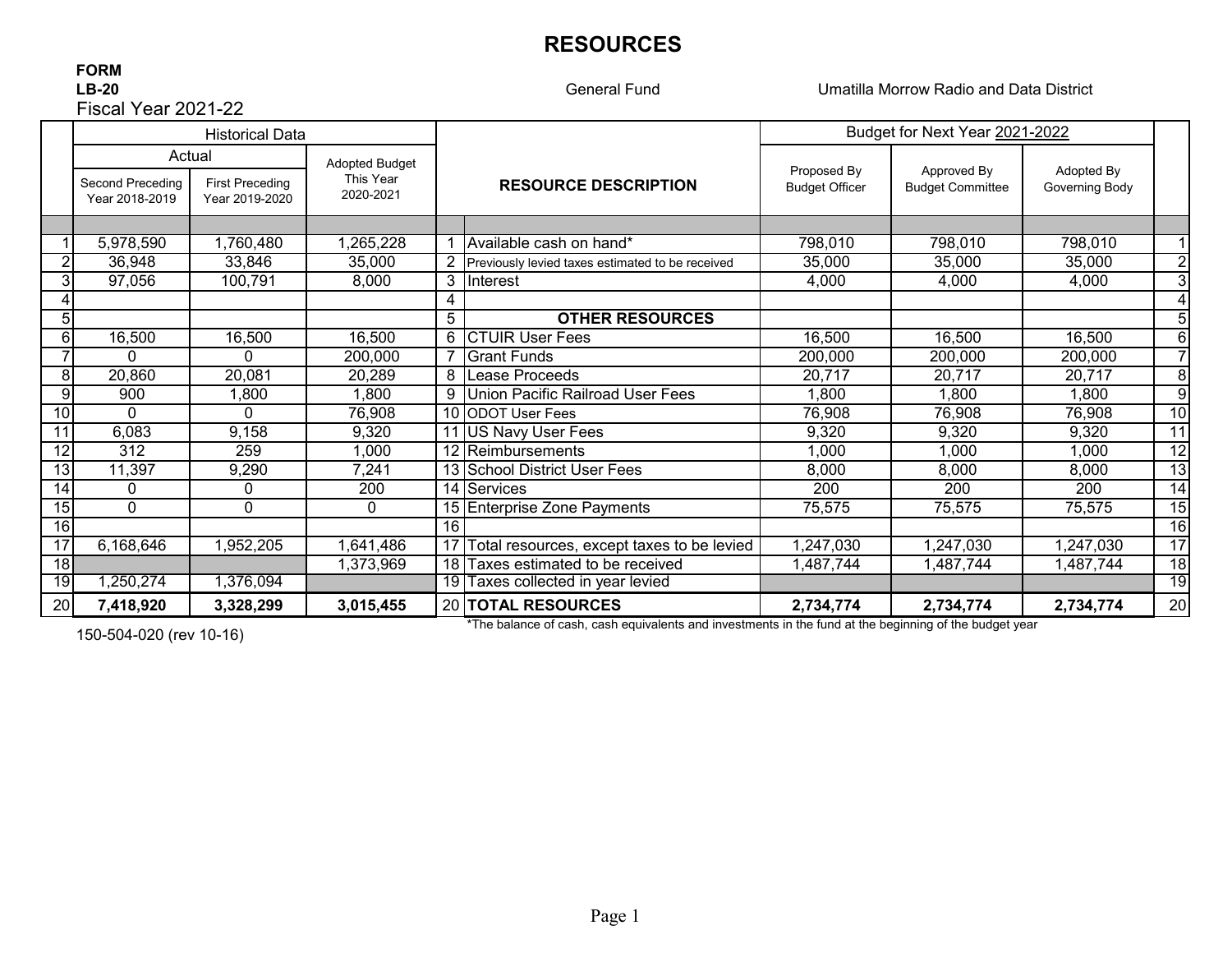# **RESOURCES**

# **FORM** Fiscal Year 2021-22

General Fund

**LB-20** Umatilla Morrow Radio and Data District

|                 |                                              | <b>Historical Data</b>                   |                                                 |                |                                                  | Budget for Next Year 2021-2022       |                                        |                              |                 |
|-----------------|----------------------------------------------|------------------------------------------|-------------------------------------------------|----------------|--------------------------------------------------|--------------------------------------|----------------------------------------|------------------------------|-----------------|
|                 | Actual<br>Second Preceding<br>Year 2018-2019 | <b>First Preceding</b><br>Year 2019-2020 | <b>Adopted Budget</b><br>This Year<br>2020-2021 |                | <b>RESOURCE DESCRIPTION</b>                      | Proposed By<br><b>Budget Officer</b> | Approved By<br><b>Budget Committee</b> | Adopted By<br>Governing Body |                 |
|                 |                                              |                                          |                                                 |                |                                                  |                                      |                                        |                              |                 |
|                 | 5,978,590                                    | 1,760,480                                | ,265,228                                        |                | Available cash on hand*                          | 798,010                              | 798,010                                | 798,010                      |                 |
|                 | 36,948                                       | 33,846                                   | 35,000                                          | $\overline{2}$ | Previously levied taxes estimated to be received | 35,000                               | 35,000                                 | 35,000                       | $\overline{2}$  |
|                 | 97,056                                       | 100,791                                  | 8,000                                           |                | 3 Interest                                       | 4,000                                | 4,000                                  | 4,000                        | 3               |
|                 |                                              |                                          |                                                 |                |                                                  |                                      |                                        |                              | 4               |
| 5               |                                              |                                          |                                                 | 5              | <b>OTHER RESOURCES</b>                           |                                      |                                        |                              | 5               |
| 6               | 16,500                                       | 16,500                                   | 16,500                                          | 6              | <b>CTUR User Fees</b>                            | 16,500                               | 16,500                                 | 16,500                       | 6               |
|                 | 0                                            | $\Omega$                                 | 200,000                                         |                | <b>Grant Funds</b>                               | 200,000                              | 200,000                                | 200,000                      | $\overline{7}$  |
| 8               | 20,860                                       | 20,081                                   | 20,289                                          | 8              | Lease Proceeds                                   | 20,717                               | 20,717                                 | 20,717                       | 8               |
| 9               | 900                                          | 1,800                                    | ,800                                            | 9              | Union Pacific Railroad User Fees                 | 1,800                                | 1,800                                  | 1,800                        | 9               |
| 10              | 0                                            | $\Omega$                                 | 76,908                                          |                | 10 ODOT User Fees                                | 76,908                               | 76,908                                 | 76,908                       | $\overline{10}$ |
| 11              | 6,083                                        | 9,158                                    | 9,320                                           |                | 11 US Navy User Fees                             | 9,320                                | 9,320                                  | 9,320                        | $\overline{11}$ |
| 12              | 312                                          | 259                                      | ,000                                            |                | 12 Reimbursements                                | 1,000                                | 1,000                                  | 1,000                        | 12              |
| 13              | 11,397                                       | 9,290                                    | 7,241                                           |                | 13 School District User Fees                     | 8,000                                | 8,000                                  | 8,000                        | 13              |
| 14              | 0                                            | 0                                        | 200                                             |                | 14 Services                                      | 200                                  | 200                                    | 200                          | 14              |
| $\overline{15}$ | $\Omega$                                     | $\mathbf{0}$                             | $\mathbf{0}$                                    |                | 15 Enterprise Zone Payments                      | 75,575                               | 75,575                                 | 75,575                       | $\overline{15}$ |
| 16              |                                              |                                          |                                                 | 16             |                                                  |                                      |                                        |                              | 16              |
| $\overline{17}$ | 6,168,646                                    | 1,952,205                                | 1,641,486                                       |                | Fotal resources, except taxes to be levied       | 1,247,030                            | 1,247,030                              | 1,247,030                    | $\overline{17}$ |
| 18              |                                              |                                          | 1,373,969                                       |                | 18 Taxes estimated to be received                | 1,487,744                            | 1,487,744                              | 1,487,744                    | 18              |
| 19              | 1,250,274                                    | 1,376,094                                |                                                 |                | 19 Taxes collected in year levied                |                                      |                                        |                              | 19              |
| 20              | 7,418,920                                    | 3,328,299                                | 3,015,455                                       |                | 20 TOTAL RESOURCES                               | 2,734,774                            | 2,734,774                              | 2,734,774                    | 20              |

150-504-020 (rev 10-16)

\*The balance of cash, cash equivalents and investments in the fund at the beginning of the budget year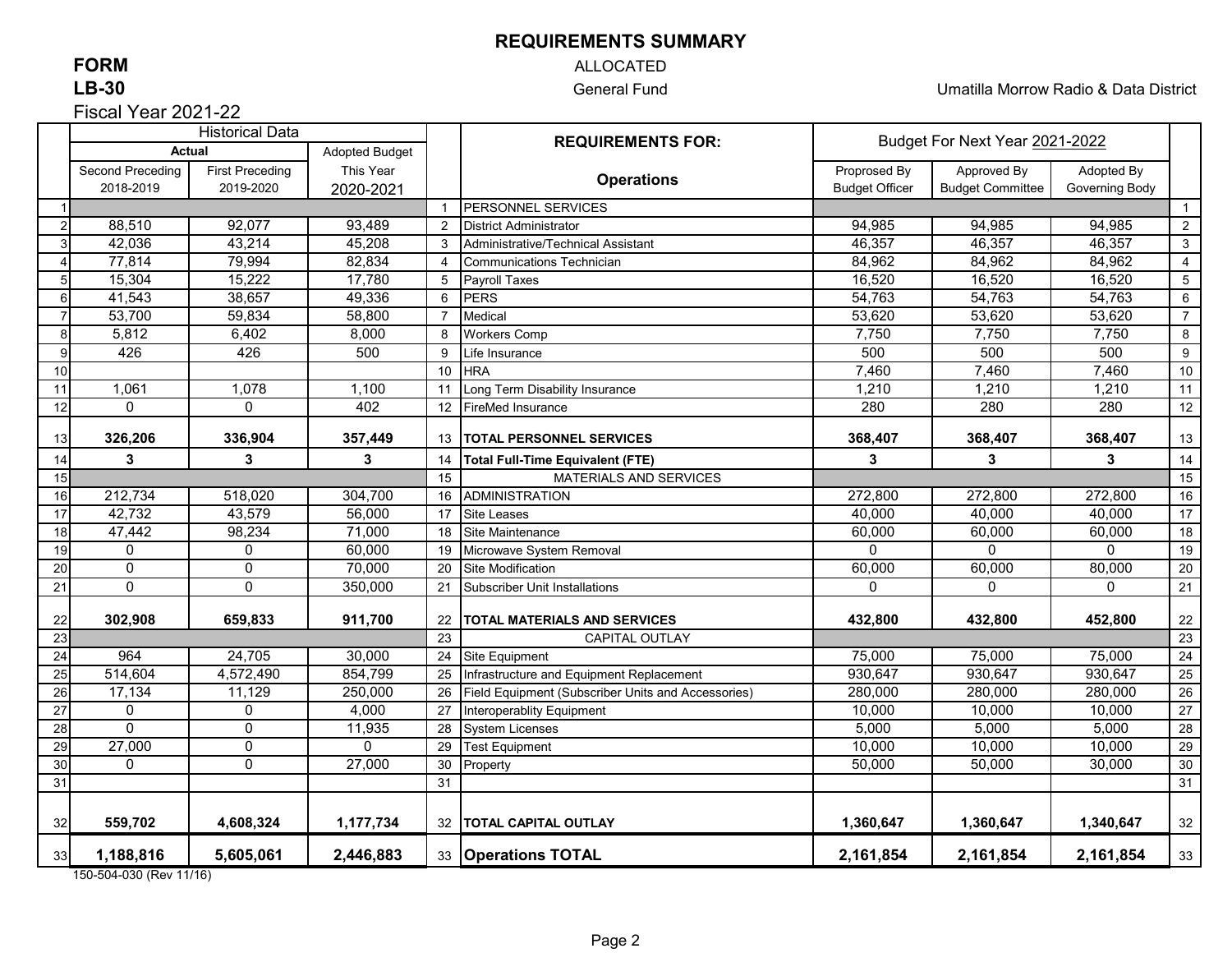### **REQUIREMENTS SUMMARY**

## **FORM**

### **LB-30**

Fiscal Year 2021-22

### ALLOCATED

General Fund Umatilla Morrow Radio & Data District

|                       | <b>Historical Data</b>              |                        |           |                       | <b>REQUIREMENTS FOR:</b>                           | Budget For Next Year 2021-2022 |                |            |                 |
|-----------------------|-------------------------------------|------------------------|-----------|-----------------------|----------------------------------------------------|--------------------------------|----------------|------------|-----------------|
|                       | <b>Actual</b><br>Adopted Budget     |                        |           |                       |                                                    |                                |                |            |                 |
|                       | Second Preceding                    | <b>First Preceding</b> | This Year |                       | <b>Operations</b>                                  | Proprosed By                   | Approved By    | Adopted By |                 |
|                       | 2018-2019<br>2019-2020<br>2020-2021 |                        |           |                       | <b>Budget Officer</b>                              | <b>Budget Committee</b>        | Governing Body |            |                 |
|                       |                                     |                        |           |                       | PERSONNEL SERVICES                                 |                                |                |            | $\overline{1}$  |
| $\overline{2}$        | 88,510                              | 92,077                 | 93,489    | 2                     | <b>District Administrator</b>                      | 94,985                         | 94,985         | 94,985     | $\overline{2}$  |
| 3                     | 42,036                              | 43,214                 | 45,208    | 3                     | Administrative/Technical Assistant                 | 46,357                         | 46,357         | 46,357     | 3               |
| $\boldsymbol{\Delta}$ | 77,814                              | 79,994                 | 82,834    | 4                     | <b>Communications Technician</b>                   | 84,962                         | 84,962         | 84,962     | 4               |
| 5                     | 15,304                              | 15,222                 | 17,780    | 5                     | <b>Payroll Taxes</b>                               | 16,520                         | 16,520         | 16,520     | $5\phantom{.0}$ |
| 6                     | 41,543                              | 38,657                 | 49,336    | 6                     | <b>PERS</b>                                        | 54,763                         | 54,763         | 54,763     | 6               |
| $\overline{7}$        | 53,700                              | 59,834                 | 58,800    | $\overline{7}$        | Medical                                            | 53,620                         | 53,620         | 53,620     | $\overline{7}$  |
| 8                     | 5,812                               | 6,402                  | 8,000     | 8                     | <b>Workers Comp</b>                                | 7,750                          | 7,750          | 7,750      | 8               |
| 9                     | 426                                 | 426                    | 500       | 9                     | Life Insurance                                     | 500                            | 500            | 500        | $\overline{9}$  |
| 10                    |                                     |                        |           | 10                    | <b>HRA</b>                                         | 7,460                          | 7,460          | 7,460      | 10              |
| 11                    | 1,061                               | 1,078                  | 1,100     | 11                    | Long Term Disability Insurance                     | 1,210                          | 1,210          | 1,210      | 11              |
| 12                    | $\Omega$                            | $\Omega$               | 402       | 12                    | <b>FireMed Insurance</b>                           | 280                            | 280            | 280        | 12              |
| 13                    | 326,206                             | 336,904                | 357,449   | 13                    | <b>TOTAL PERSONNEL SERVICES</b>                    | 368,407                        | 368,407        | 368,407    | 13              |
| 14                    | $\mathbf{3}$                        | 3                      | 3         | 14                    | <b>Total Full-Time Equivalent (FTE)</b>            | 3                              | $\mathbf{3}$   | 3          | 14              |
| 15                    |                                     |                        |           |                       | MATERIALS AND SERVICES                             |                                |                |            | 15              |
| 16                    | 212,734                             | 518,020                | 304,700   | 16                    | <b>ADMINISTRATION</b>                              | 272,800                        | 272,800        | 272,800    | 16              |
| 17                    | 42,732                              | 43,579                 | 56,000    | 17                    | Site Leases                                        | 40,000                         | 40,000         | 40,000     | 17              |
| 18                    | 47,442                              | 98,234                 | 71,000    | 18                    | Site Maintenance                                   | 60,000                         | 60,000         | 60,000     | 18              |
| 19                    | 0                                   | 0                      | 60,000    | 19                    | Microwave System Removal                           | 0                              | $\Omega$       | $\Omega$   | 19              |
| 20                    | $\mathbf 0$                         | $\mathbf 0$            | 70,000    | 20                    | <b>Site Modification</b>                           | 60,000                         | 60,000         | 80,000     | 20              |
| 21                    | $\mathbf 0$                         | $\Omega$               | 350,000   | 21                    | <b>Subscriber Unit Installations</b>               | 0                              | $\Omega$       | $\Omega$   | 21              |
| 22                    | 302,908                             | 659,833                | 911,700   | 22                    | TOTAL MATERIALS AND SERVICES                       | 432,800                        | 432,800        | 452,800    | 22              |
| 23                    |                                     |                        |           |                       | <b>CAPITAL OUTLAY</b>                              |                                |                |            | $\overline{23}$ |
| 24                    | 964                                 | 24,705                 | 30,000    | $\overline{23}$<br>24 | Site Equipment                                     | 75,000                         | 75,000         | 75,000     | 24              |
| 25                    | 514,604                             | 4,572,490              | 854,799   | 25                    | Infrastructure and Equipment Replacement           | 930,647                        | 930,647        | 930,647    | 25              |
| 26                    | 17,134                              | 11,129                 | 250,000   | 26                    | Field Equipment (Subscriber Units and Accessories) | 280,000                        | 280,000        | 280,000    | 26              |
| 27                    | 0                                   | 0                      | 4,000     | 27                    | Interoperablity Equipment                          | 10,000                         | 10,000         | 10,000     | 27              |
| 28                    | $\Omega$                            | $\mathbf 0$            | 11,935    | 28                    | <b>System Licenses</b>                             | 5,000                          | 5,000          | 5,000      | 28              |
| 29                    | 27,000                              | $\mathbf 0$            | 0         | 29                    | <b>Test Equipment</b>                              | 10,000                         | 10,000         | 10,000     | 29              |
| 30                    | $\mathbf{0}$                        | $\overline{0}$         | 27,000    | 30                    | Property                                           | 50,000                         | 50,000         | 30,000     | 30              |
| 31                    |                                     |                        |           | 31                    |                                                    |                                |                |            | 31              |
|                       |                                     |                        |           |                       |                                                    |                                |                |            |                 |
| 32                    | 559,702                             | 4,608,324              | 1,177,734 |                       | 32   TOTAL CAPITAL OUTLAY                          | 1,360,647                      | 1,360,647      | 1,340,647  | 32              |
| 33                    | 1,188,816                           | 5,605,061              | 2,446,883 |                       | 33 Operations TOTAL                                | 2,161,854                      | 2,161,854      | 2,161,854  | 33              |

150-504-030 (Rev 11/16)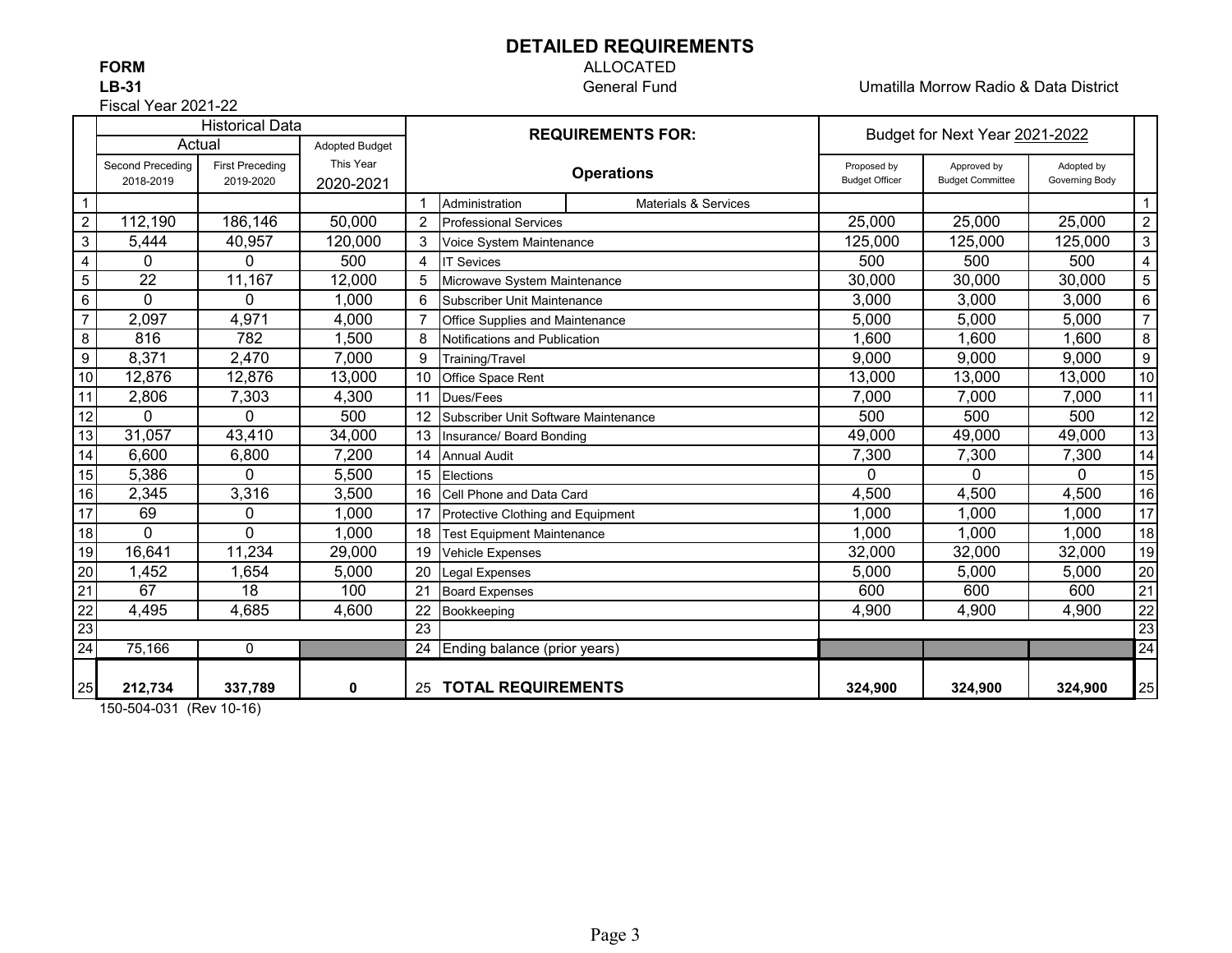### **DETAILED REQUIREMENTS**

Fiscal Year 2021-22

# **FORM** ALLOCATED

**LB-31** General Fund Umatilla Morrow Radio & Data District

| <b>Historical Data</b> |                  |                        |                       |                          |                                      | Budget for Next Year 2021-2022  |                       |                         |                |                           |
|------------------------|------------------|------------------------|-----------------------|--------------------------|--------------------------------------|---------------------------------|-----------------------|-------------------------|----------------|---------------------------|
|                        | Actual           |                        | <b>Adopted Budget</b> | <b>REQUIREMENTS FOR:</b> |                                      |                                 |                       |                         |                |                           |
|                        | Second Preceding | <b>First Preceding</b> | This Year             |                          |                                      | <b>Operations</b>               | Proposed by           | Approved by             | Adopted by     |                           |
|                        | 2018-2019        | 2019-2020              | 2020-2021             |                          |                                      |                                 | <b>Budget Officer</b> | <b>Budget Committee</b> | Governing Body |                           |
| $\overline{1}$         |                  |                        |                       |                          | Administration                       | <b>Materials &amp; Services</b> |                       |                         |                |                           |
| $\overline{2}$         | 112,190          | 186,146                | 50,000                | $\overline{2}$           | <b>Professional Services</b>         |                                 | 25,000                | 25,000                  | 25,000         | $\overline{c}$            |
| $\sqrt{3}$             | 5,444            | 40,957                 | 120,000               | 3                        | Voice System Maintenance             |                                 | 125,000               | 125,000                 | 125,000        | $\ensuremath{\mathsf{3}}$ |
| $\overline{4}$         | $\Omega$         | $\Omega$               | 500                   | 4                        | <b>IT Sevices</b>                    |                                 | 500                   | 500                     | 500            | $\overline{\mathbf{4}}$   |
| $\overline{5}$         | 22               | 11,167                 | 12,000                | 5                        | Microwave System Maintenance         |                                 | 30,000                | 30,000                  | 30,000         | 5                         |
| $6\phantom{1}6$        | $\Omega$         | 0                      | 1,000                 | 6                        | Subscriber Unit Maintenance          |                                 | 3,000                 | 3,000                   | 3,000          | 6                         |
| $\overline{7}$         | 2,097            | 4,971                  | 4,000                 |                          | Office Supplies and Maintenance      |                                 | 5,000                 | 5,000                   | 5,000          | $\overline{7}$            |
| $\boldsymbol{8}$       | 816              | 782                    | 1,500                 | 8                        | Notifications and Publication        |                                 | 1,600                 | 1,600                   | 1,600          | 8                         |
| $\overline{g}$         | 8,371            | 2,470                  | 7,000                 | 9                        | Training/Travel                      |                                 | 9,000                 | 9,000                   | 9,000          | 9                         |
| $10$                   | 12,876           | 12,876                 | 13,000                | 10                       | Office Space Rent                    |                                 | 13,000                | 13,000                  | 13,000         | 10                        |
| 11                     | 2,806            | 7,303                  | 4,300                 | 11                       | Dues/Fees                            |                                 | 7,000                 | 7,000                   | 7,000          | 11                        |
| 12                     | $\Omega$         | 0                      | 500                   | 12                       | Subscriber Unit Software Maintenance |                                 | 500                   | 500                     | 500            | 12                        |
| 13                     | 31,057           | 43,410                 | 34,000                | 13                       | Insurance/ Board Bonding             |                                 | 49,000                | 49,000                  | 49,000         | 13                        |
| 14                     | 6,600            | 6,800                  | 7,200                 | 14                       | <b>Annual Audit</b>                  |                                 | 7,300                 | 7,300                   | 7,300          | 14                        |
| 15                     | 5,386            | 0                      | 5,500                 | 15                       | Elections                            |                                 | 0                     | 0                       | 0              | 15                        |
| 16                     | 2,345            | 3,316                  | 3,500                 | 16                       | Cell Phone and Data Card             |                                 | 4,500                 | 4,500                   | 4,500          | 16                        |
| 17                     | 69               | 0                      | 1,000                 | 17                       | Protective Clothing and Equipment    |                                 | 1,000                 | 1,000                   | 1,000          | 17                        |
| 18                     | $\Omega$         | 0                      | 1,000                 | 18                       | <b>Test Equipment Maintenance</b>    |                                 | 1,000                 | 1,000                   | 1,000          | 18                        |
| 19                     | 16,641           | 11,234                 | 29,000                | 19                       | Vehicle Expenses                     |                                 | 32,000                | 32,000                  | 32,000         | 19                        |
| 20                     | 1,452            | 1,654                  | 5,000                 | 20                       | Legal Expenses                       |                                 | 5,000                 | 5,000                   | 5,000          | 20                        |
| $\overline{21}$        | $\overline{67}$  | 18                     | 100                   | 21                       | <b>Board Expenses</b>                |                                 | 600                   | 600                     | 600            | 21                        |
| $\frac{1}{22}$         | 4,495            | 4,685                  | 4,600                 | 22                       | Bookkeeping                          |                                 | 4,900                 | 4,900                   | 4,900          | 22                        |
| 23                     |                  |                        |                       | $\overline{23}$          |                                      |                                 |                       |                         |                | 23                        |
| 24                     | 75,166           | 0                      |                       | 24                       | Ending balance (prior years)         |                                 |                       |                         |                | $\overline{24}$           |
|                        |                  |                        |                       |                          |                                      |                                 |                       |                         |                |                           |
| 25                     | 212,734          | 337,789                | 0                     |                          | 25 TOTAL REQUIREMENTS                |                                 | 324,900               | 324,900                 | 324,900        | 25                        |

150-504-031 (Rev 10-16)